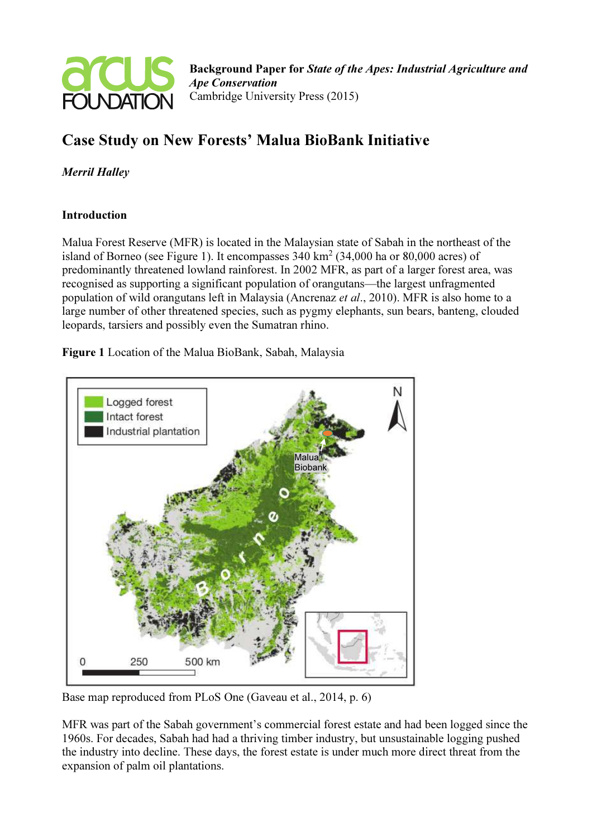

# Case Study on New Forests' Malua BioBank Initiative

Merril Halley

## **Introduction**

Malua Forest Reserve (MFR) is located in the Malaysian state of Sabah in the northeast of the island of Borneo (see Figure 1). It encompasses  $340 \text{ km}^2$  (34,000 ha or 80,000 acres) of predominantly threatened lowland rainforest. In 2002 MFR, as part of a larger forest area, was recognised as supporting a significant population of orangutans—the largest unfragmented population of wild orangutans left in Malaysia (Ancrenaz *et al.*, 2010). MFR is also home to a large number of other threatened species, such as pygmy elephants, sun bears, banteng, clouded leopards, tarsiers and possibly even the Sumatran rhino.

Figure 1 Location of the Malua BioBank, Sabah, Malaysia



Base map reproduced from PLoS One (Gaveau et al., 2014, p. 6)

MFR was part of the Sabah government's commercial forest estate and had been logged since the 1960s. For decades, Sabah had had a thriving timber industry, but unsustainable logging pushed the industry into decline. These days, the forest estate is under much more direct threat from the expansion of palm oil plantations.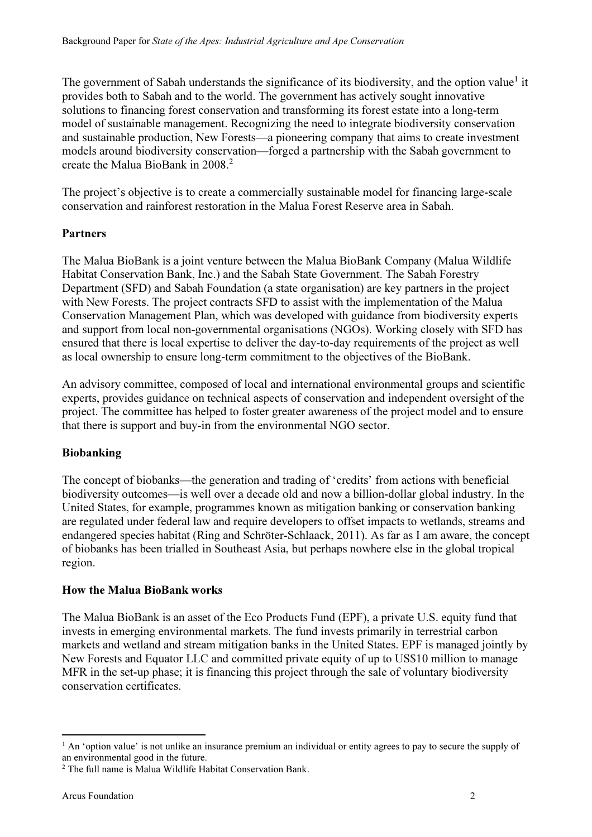The government of Sabah understands the significance of its biodiversity, and the option value<sup>1</sup> it provides both to Sabah and to the world. The government has actively sought innovative solutions to financing forest conservation and transforming its forest estate into a long-term model of sustainable management. Recognizing the need to integrate biodiversity conservation and sustainable production, New Forests—a pioneering company that aims to create investment models around biodiversity conservation—forged a partnership with the Sabah government to create the Malua BioBank in 2008.<sup>2</sup>

The project's objective is to create a commercially sustainable model for financing large-scale conservation and rainforest restoration in the Malua Forest Reserve area in Sabah.

## Partners

The Malua BioBank is a joint venture between the Malua BioBank Company (Malua Wildlife Habitat Conservation Bank, Inc.) and the Sabah State Government. The Sabah Forestry Department (SFD) and Sabah Foundation (a state organisation) are key partners in the project with New Forests. The project contracts SFD to assist with the implementation of the Malua Conservation Management Plan, which was developed with guidance from biodiversity experts and support from local non-governmental organisations (NGOs). Working closely with SFD has ensured that there is local expertise to deliver the day-to-day requirements of the project as well as local ownership to ensure long-term commitment to the objectives of the BioBank.

An advisory committee, composed of local and international environmental groups and scientific experts, provides guidance on technical aspects of conservation and independent oversight of the project. The committee has helped to foster greater awareness of the project model and to ensure that there is support and buy-in from the environmental NGO sector.

## Biobanking

The concept of biobanks—the generation and trading of 'credits' from actions with beneficial biodiversity outcomes—is well over a decade old and now a billion-dollar global industry. In the United States, for example, programmes known as mitigation banking or conservation banking are regulated under federal law and require developers to offset impacts to wetlands, streams and endangered species habitat (Ring and Schröter-Schlaack, 2011). As far as I am aware, the concept of biobanks has been trialled in Southeast Asia, but perhaps nowhere else in the global tropical region.

## How the Malua BioBank works

The Malua BioBank is an asset of the Eco Products Fund (EPF), a private U.S. equity fund that invests in emerging environmental markets. The fund invests primarily in terrestrial carbon markets and wetland and stream mitigation banks in the United States. EPF is managed jointly by New Forests and Equator LLC and committed private equity of up to US\$10 million to manage MFR in the set-up phase; it is financing this project through the sale of voluntary biodiversity conservation certificates.

 $\overline{a}$ 

<sup>&</sup>lt;sup>1</sup> An 'option value' is not unlike an insurance premium an individual or entity agrees to pay to secure the supply of an environmental good in the future.

<sup>&</sup>lt;sup>2</sup> The full name is Malua Wildlife Habitat Conservation Bank.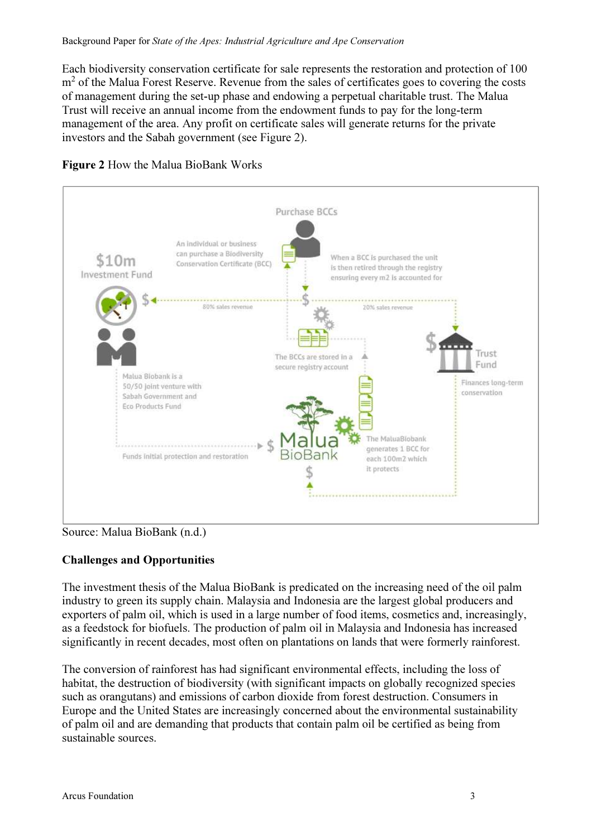Each biodiversity conservation certificate for sale represents the restoration and protection of 100 m<sup>2</sup> of the Malua Forest Reserve. Revenue from the sales of certificates goes to covering the costs of management during the set-up phase and endowing a perpetual charitable trust. The Malua Trust will receive an annual income from the endowment funds to pay for the long-term management of the area. Any profit on certificate sales will generate returns for the private investors and the Sabah government (see Figure 2).





Source: Malua BioBank (n.d.)

## Challenges and Opportunities

The investment thesis of the Malua BioBank is predicated on the increasing need of the oil palm industry to green its supply chain. Malaysia and Indonesia are the largest global producers and exporters of palm oil, which is used in a large number of food items, cosmetics and, increasingly, as a feedstock for biofuels. The production of palm oil in Malaysia and Indonesia has increased significantly in recent decades, most often on plantations on lands that were formerly rainforest.

The conversion of rainforest has had significant environmental effects, including the loss of habitat, the destruction of biodiversity (with significant impacts on globally recognized species such as orangutans) and emissions of carbon dioxide from forest destruction. Consumers in Europe and the United States are increasingly concerned about the environmental sustainability of palm oil and are demanding that products that contain palm oil be certified as being from sustainable sources.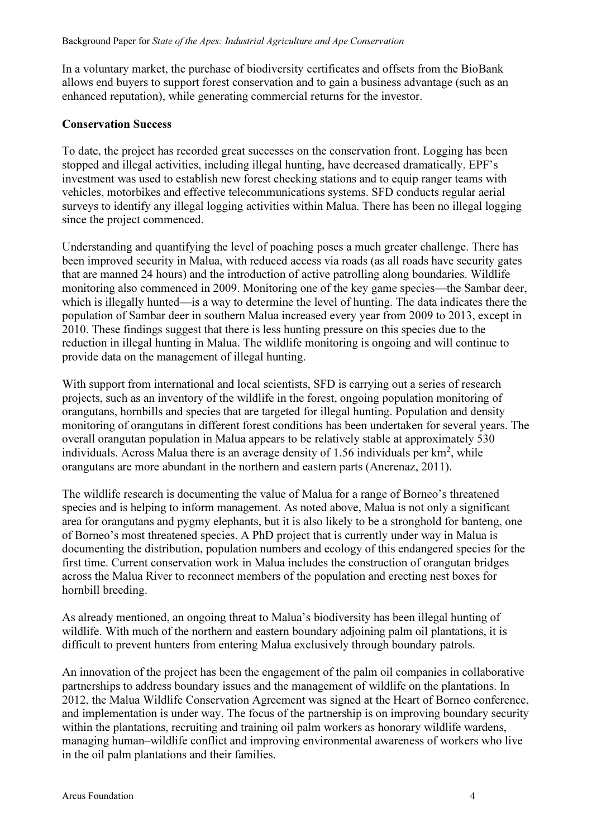In a voluntary market, the purchase of biodiversity certificates and offsets from the BioBank allows end buyers to support forest conservation and to gain a business advantage (such as an enhanced reputation), while generating commercial returns for the investor.

#### Conservation Success

To date, the project has recorded great successes on the conservation front. Logging has been stopped and illegal activities, including illegal hunting, have decreased dramatically. EPF's investment was used to establish new forest checking stations and to equip ranger teams with vehicles, motorbikes and effective telecommunications systems. SFD conducts regular aerial surveys to identify any illegal logging activities within Malua. There has been no illegal logging since the project commenced.

Understanding and quantifying the level of poaching poses a much greater challenge. There has been improved security in Malua, with reduced access via roads (as all roads have security gates that are manned 24 hours) and the introduction of active patrolling along boundaries. Wildlife monitoring also commenced in 2009. Monitoring one of the key game species—the Sambar deer, which is illegally hunted—is a way to determine the level of hunting. The data indicates there the population of Sambar deer in southern Malua increased every year from 2009 to 2013, except in 2010. These findings suggest that there is less hunting pressure on this species due to the reduction in illegal hunting in Malua. The wildlife monitoring is ongoing and will continue to provide data on the management of illegal hunting.

With support from international and local scientists, SFD is carrying out a series of research projects, such as an inventory of the wildlife in the forest, ongoing population monitoring of orangutans, hornbills and species that are targeted for illegal hunting. Population and density monitoring of orangutans in different forest conditions has been undertaken for several years. The overall orangutan population in Malua appears to be relatively stable at approximately 530 individuals. Across Malua there is an average density of 1.56 individuals per  $km^2$ , while orangutans are more abundant in the northern and eastern parts (Ancrenaz, 2011).

The wildlife research is documenting the value of Malua for a range of Borneo's threatened species and is helping to inform management. As noted above, Malua is not only a significant area for orangutans and pygmy elephants, but it is also likely to be a stronghold for banteng, one of Borneo's most threatened species. A PhD project that is currently under way in Malua is documenting the distribution, population numbers and ecology of this endangered species for the first time. Current conservation work in Malua includes the construction of orangutan bridges across the Malua River to reconnect members of the population and erecting nest boxes for hornbill breeding.

As already mentioned, an ongoing threat to Malua's biodiversity has been illegal hunting of wildlife. With much of the northern and eastern boundary adjoining palm oil plantations, it is difficult to prevent hunters from entering Malua exclusively through boundary patrols.

An innovation of the project has been the engagement of the palm oil companies in collaborative partnerships to address boundary issues and the management of wildlife on the plantations. In 2012, the Malua Wildlife Conservation Agreement was signed at the Heart of Borneo conference, and implementation is under way. The focus of the partnership is on improving boundary security within the plantations, recruiting and training oil palm workers as honorary wildlife wardens, managing human–wildlife conflict and improving environmental awareness of workers who live in the oil palm plantations and their families.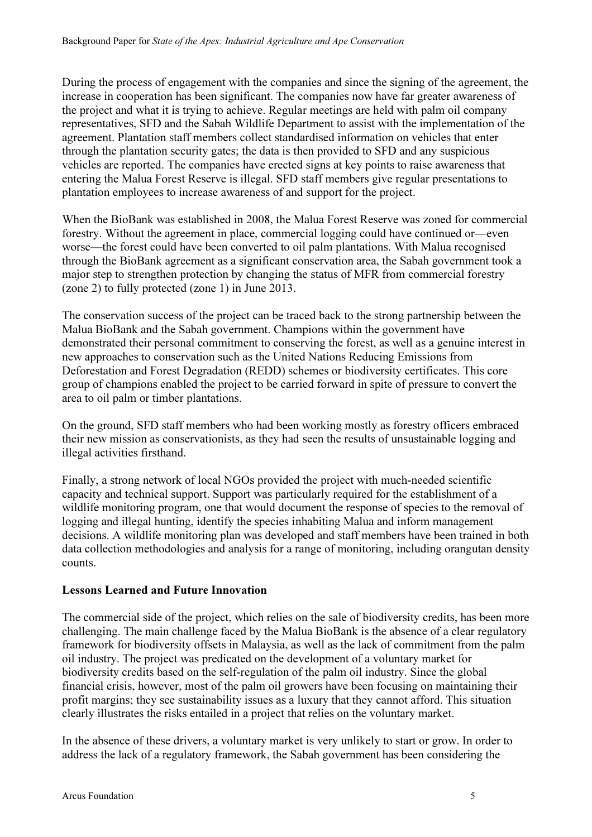During the process of engagement with the companies and since the signing of the agreement, the increase in cooperation has been significant. The companies now have far greater awareness of the project and what it is trying to achieve. Regular meetings are held with palm oil company representatives, SFD and the Sabah Wildlife Department to assist with the implementation of the agreement. Plantation staff members collect standardised information on vehicles that enter through the plantation security gates; the data is then provided to SFD and any suspicious vehicles are reported. The companies have erected signs at key points to raise awareness that entering the Malua Forest Reserve is illegal. SFD staff members give regular presentations to plantation employees to increase awareness of and support for the project.

When the BioBank was established in 2008, the Malua Forest Reserve was zoned for commercial forestry. Without the agreement in place, commercial logging could have continued or—even worse—the forest could have been converted to oil palm plantations. With Malua recognised through the BioBank agreement as a significant conservation area, the Sabah government took a major step to strengthen protection by changing the status of MFR from commercial forestry (zone 2) to fully protected (zone 1) in June 2013.

The conservation success of the project can be traced back to the strong partnership between the Malua BioBank and the Sabah government. Champions within the government have demonstrated their personal commitment to conserving the forest, as well as a genuine interest in new approaches to conservation such as the United Nations Reducing Emissions from Deforestation and Forest Degradation (REDD) schemes or biodiversity certificates. This core group of champions enabled the project to be carried forward in spite of pressure to convert the area to oil palm or timber plantations.

On the ground, SFD staff members who had been working mostly as forestry officers embraced their new mission as conservationists, as they had seen the results of unsustainable logging and illegal activities firsthand.

Finally, a strong network of local NGOs provided the project with much-needed scientific capacity and technical support. Support was particularly required for the establishment of a wildlife monitoring program, one that would document the response of species to the removal of logging and illegal hunting, identify the species inhabiting Malua and inform management decisions. A wildlife monitoring plan was developed and staff members have been trained in both data collection methodologies and analysis for a range of monitoring, including orangutan density counts.

## Lessons Learned and Future Innovation

The commercial side of the project, which relies on the sale of biodiversity credits, has been more challenging. The main challenge faced by the Malua BioBank is the absence of a clear regulatory framework for biodiversity offsets in Malaysia, as well as the lack of commitment from the palm oil industry. The project was predicated on the development of a voluntary market for biodiversity credits based on the self-regulation of the palm oil industry. Since the global financial crisis, however, most of the palm oil growers have been focusing on maintaining their profit margins; they see sustainability issues as a luxury that they cannot afford. This situation clearly illustrates the risks entailed in a project that relies on the voluntary market.

In the absence of these drivers, a voluntary market is very unlikely to start or grow. In order to address the lack of a regulatory framework, the Sabah government has been considering the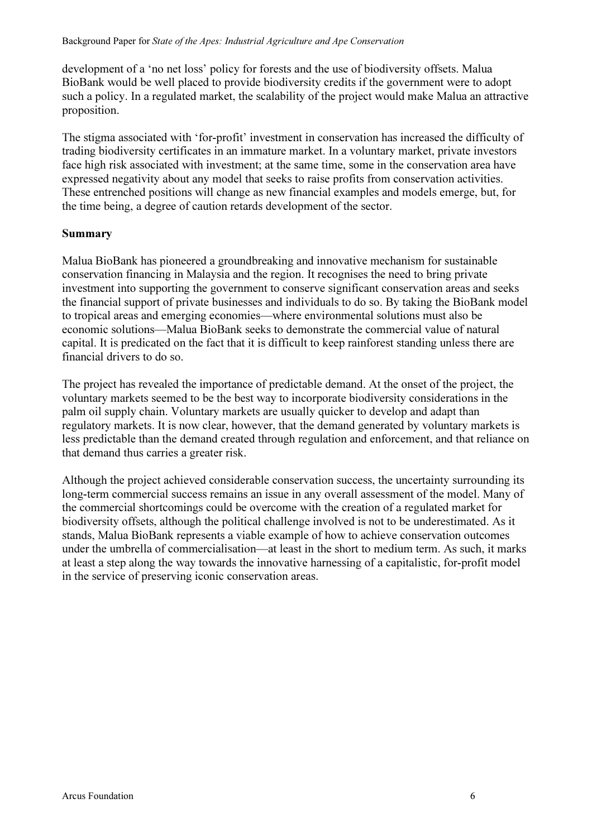development of a 'no net loss' policy for forests and the use of biodiversity offsets. Malua BioBank would be well placed to provide biodiversity credits if the government were to adopt such a policy. In a regulated market, the scalability of the project would make Malua an attractive proposition.

The stigma associated with 'for-profit' investment in conservation has increased the difficulty of trading biodiversity certificates in an immature market. In a voluntary market, private investors face high risk associated with investment; at the same time, some in the conservation area have expressed negativity about any model that seeks to raise profits from conservation activities. These entrenched positions will change as new financial examples and models emerge, but, for the time being, a degree of caution retards development of the sector.

#### Summary

Malua BioBank has pioneered a groundbreaking and innovative mechanism for sustainable conservation financing in Malaysia and the region. It recognises the need to bring private investment into supporting the government to conserve significant conservation areas and seeks the financial support of private businesses and individuals to do so. By taking the BioBank model to tropical areas and emerging economies—where environmental solutions must also be economic solutions—Malua BioBank seeks to demonstrate the commercial value of natural capital. It is predicated on the fact that it is difficult to keep rainforest standing unless there are financial drivers to do so.

The project has revealed the importance of predictable demand. At the onset of the project, the voluntary markets seemed to be the best way to incorporate biodiversity considerations in the palm oil supply chain. Voluntary markets are usually quicker to develop and adapt than regulatory markets. It is now clear, however, that the demand generated by voluntary markets is less predictable than the demand created through regulation and enforcement, and that reliance on that demand thus carries a greater risk.

Although the project achieved considerable conservation success, the uncertainty surrounding its long-term commercial success remains an issue in any overall assessment of the model. Many of the commercial shortcomings could be overcome with the creation of a regulated market for biodiversity offsets, although the political challenge involved is not to be underestimated. As it stands, Malua BioBank represents a viable example of how to achieve conservation outcomes under the umbrella of commercialisation—at least in the short to medium term. As such, it marks at least a step along the way towards the innovative harnessing of a capitalistic, for-profit model in the service of preserving iconic conservation areas.